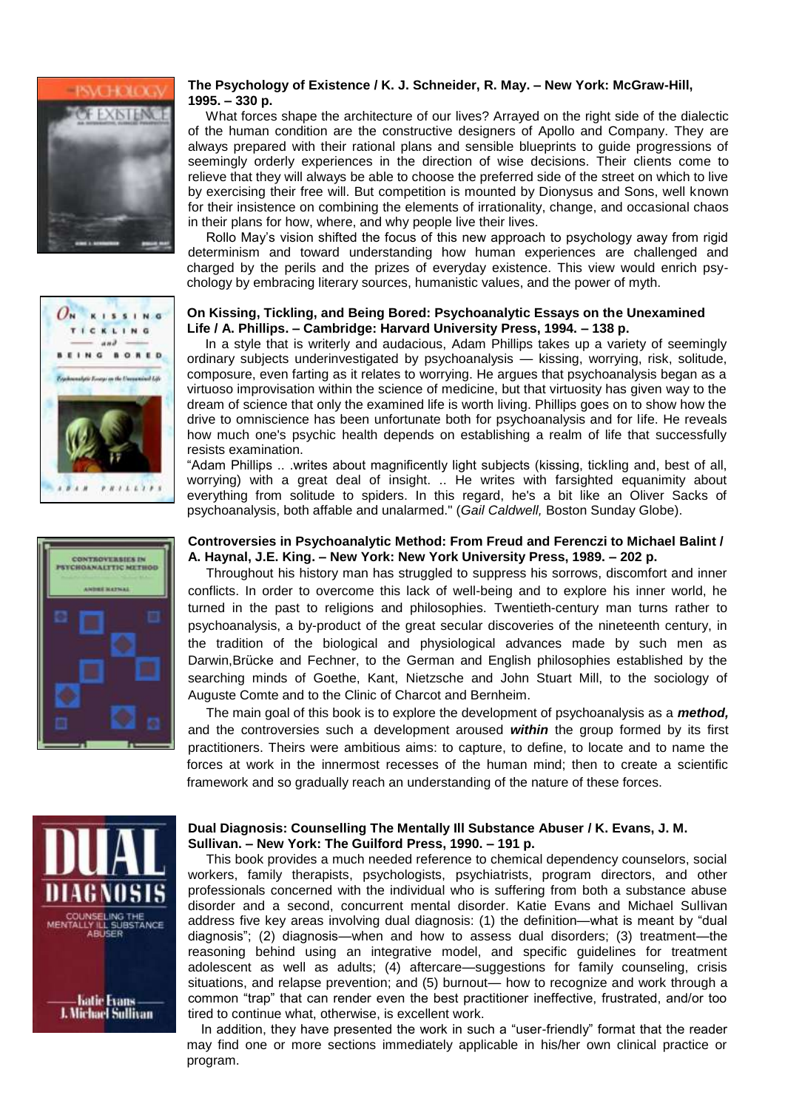





## **The Psychology of Existence / K. J. Schneider, R. May. – New York: McGraw-Hill, 1995. – 330 p.**

 What forces shape the architecture of our lives? Arrayed on the right side of the dialectic of the human condition are the constructive designers of Apollo and Company. They are always prepared with their rational plans and sensible blueprints to guide progressions of seemingly orderly experiences in the direction of wise decisions. Their clients come to relieve that they will always be able to choose the preferred side of the street on which to live by exercising their free will. But competition is mounted by Dionysus and Sons, well known for their insistence on combining the elements of irrationality, change, and occasional chaos in their plans for how, where, and why people live their lives.

 Rollo May's vision shifted the focus of this new approach to psychology away from rigid determinism and toward understanding how human experiences are challenged and charged by the perils and the prizes of everyday existence. This view would enrich psychology by embracing literary sources, humanistic values, and the power of myth.

## **On Kissing, Tickling, and Being Bored: Psychoanalytic Essays on the Unexamined Life / [A. Phillips.](https://www.goodreads.com/author/show/33751.Adam_Phillips) – Cambridge: Harvard University Press, 1994. – 138 p.**

 In a style that is writerly and audacious, Adam Phillips takes up a variety of seemingly ordinary subjects underinvestigated by psychoanalysis — kissing, worrying, risk, solitude, composure, even farting as it relates to worrying. He argues that psychoanalysis began as a virtuoso improvisation within the science of medicine, but that virtuosity has given way to the dream of science that only the examined life is worth living. Phillips goes on to show how the drive to omniscience has been unfortunate both for psychoanalysis and for life. He reveals how much one's psychic health depends on establishing a realm of life that successfully resists examination.

"Adam Phillips .. .writes about magnificently light subjects (kissing, tickling and, best of all, worrying) with a great deal of insight. .. He writes with farsighted equanimity about everything from solitude to spiders. In this regard, he's a bit like an Oliver Sacks of psychoanalysis, both affable and unalarmed." (*Gail Caldwell,* Boston Sunday Globe).

## **Controversies in Psychoanalytic Method: From Freud and Ferenczi to Michael Balint / [A. Haynal,](https://www.amazon.com/s/ref=dp_byline_sr_book_1?ie=UTF8&text=Andre+Haynal&search-alias=books&field-author=Andre+Haynal&sort=relevancerank) [J.E. King.](https://www.amazon.com/s/ref=dp_byline_sr_book_2?ie=UTF8&text=J.E.+King&search-alias=books&field-author=J.E.+King&sort=relevancerank) – New York: New York University Press, 1989. – 202 p.**

 Throughout his history man has struggled to suppress his sorrows, discomfort and inner conflicts. In order to overcome this lack of well-being and to explore his inner world, he turned in the past to religions and philosophies. Twentieth-century man turns rather to psychoanalysis, a by-product of the great secular discoveries of the nineteenth century, in the tradition of the biological and physiological advances made by such men as Darwin,Brücke and Fechner, to the German and English philosophies established by the searching minds of Goethe, Kant, Nietzsche and John Stuart Mill, to the sociology of Auguste Comte and to the Clinic of Charcot and Bernheim.

 The main goal of this book is to explore the development of psychoanalysis as a *method,* and the controversies such a development aroused *within* the group formed by its first practitioners. Theirs were ambitious aims: to capture, to define, to locate and to name the forces at work in the innermost recesses of the human mind; then to create a scientific framework and so gradually reach an understanding of the nature of these forces.



— Katie Evans<br>J. Michael Sullivan

#### **Dual Diagnosis: Counselling The Mentally Ill Substance Abuser / [K. Evans,](https://www.bol.com/nl/c/katie-evans/279699/) J. M. Sullivan. – New York: The Guilford Press, 1990. – 191 p.**

 This book provides a much needed reference to chemical dependency counselors, social workers, family therapists, psychologists, psychiatrists, program directors, and other professionals concerned with the individual who is suffering from both a substance abuse disorder and a second, concurrent mental disorder. Katie Evans and Michael Sullivan address five key areas involving dual diagnosis: (1) the definition—what is meant by "dual diagnosis"; (2) diagnosis—when and how to assess dual disorders; (3) treatment—the reasoning behind using an integrative model, and specific guidelines for treatment adolescent as well as adults; (4) aftercare—suggestions for family counseling, crisis situations, and relapse prevention; and (5) burnout— how to recognize and work through a common "trap" that can render even the best practitioner ineffective, frustrated, and/or too tired to continue what, otherwise, is excellent work.

In addition, they have presented the work in such a "user-friendly" format that the reader may find one or more sections immediately applicable in his/her own clinical practice or program.